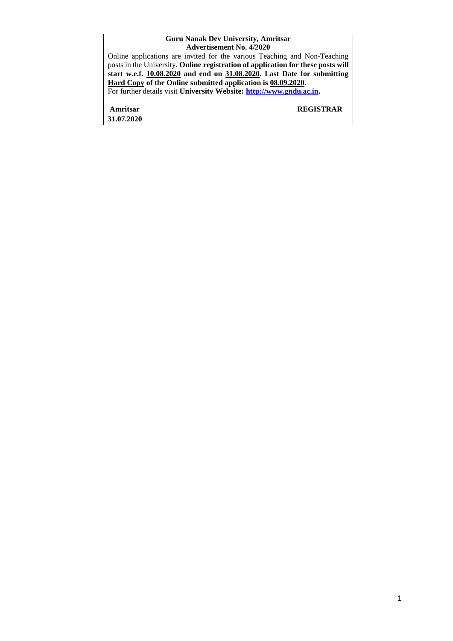#### **Guru Nanak Dev University, Amritsar Advertisement No. 4/2020**

| Auverusement ind. 4/2020                                                         |
|----------------------------------------------------------------------------------|
| Online applications are invited for the various Teaching and Non-Teaching        |
| posts in the University. Online registration of application for these posts will |
| start w.e.f. 10.08.2020 and end on 31.08.2020. Last Date for submitting          |
| Hard Copy of the Online submitted application is 08.09.2020.                     |
| For further details visit University Website: http://www.gndu.ac.in.             |
| <b>REGISTRAR</b><br>Amritsar                                                     |
| 31.07.2020                                                                       |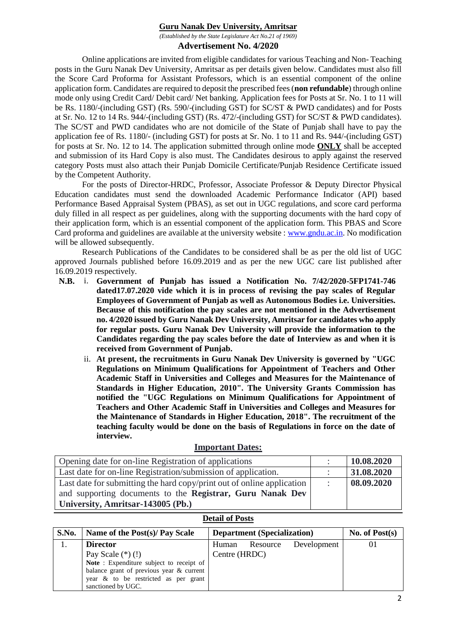### **Guru Nanak Dev University, Amritsar**

*(Established by the State Legislature Act No.21 of 1969)*

### **Advertisement No. 4/2020**

Online applications are invited from eligible candidates for various Teaching and Non- Teaching posts in the Guru Nanak Dev University, Amritsar as per details given below. Candidates must also fill the Score Card Proforma for Assistant Professors, which is an essential component of the online application form. Candidates are required to deposit the prescribed fees (**non refundable**) through online mode only using Credit Card/ Debit card/ Net banking. Application fees for Posts at Sr. No. 1 to 11 will be Rs. 1180/-(including GST) (Rs. 590/-(including GST) for SC/ST & PWD candidates) and for Posts at Sr. No. 12 to 14 Rs. 944/-(including GST) (Rs. 472/-(including GST) for SC/ST & PWD candidates). The SC/ST and PWD candidates who are not domicile of the State of Punjab shall have to pay the application fee of Rs. 1180/- (including GST) for posts at Sr. No. 1 to 11 and Rs. 944/-(including GST) for posts at Sr. No. 12 to 14. The application submitted through online mode **ONLY** shall be accepted and submission of its Hard Copy is also must. The Candidates desirous to apply against the reserved category Posts must also attach their Punjab Domicile Certificate/Punjab Residence Certificate issued by the Competent Authority.

For the posts of Director-HRDC, Professor, Associate Professor & Deputy Director Physical Education candidates must send the downloaded Academic Performance Indicator (API) based Performance Based Appraisal System (PBAS), as set out in UGC regulations, and score card performa duly filled in all respect as per guidelines, along with the supporting documents with the hard copy of their application form, which is an essential component of the application form. This PBAS and Score Card proforma and guidelines are available at the university website : [www.gndu.ac.in.](http://www.gndu.ac.in/) No modification will be allowed subsequently.

Research Publications of the Candidates to be considered shall be as per the old list of UGC approved Journals published before 16.09.2019 and as per the new UGC care list published after 16.09.2019 respectively.

- **N.B.** i. **Government of Punjab has issued a Notification No. 7/42/2020-5FP1741-746 dated17.07.2020 vide which it is in process of revising the pay scales of Regular Employees of Government of Punjab as well as Autonomous Bodies i.e. Universities. Because of this notification the pay scales are not mentioned in the Advertisement no. 4/2020 issued by Guru Nanak Dev University, Amritsar for candidates who apply for regular posts. Guru Nanak Dev University will provide the information to the Candidates regarding the pay scales before the date of Interview as and when it is received from Government of Punjab.**
	- ii. **At present, the recruitments in Guru Nanak Dev University is governed by "UGC Regulations on Minimum Qualifications for Appointment of Teachers and Other Academic Staff in Universities and Colleges and Measures for the Maintenance of Standards in Higher Education, 2010". The University Grants Commission has notified the "UGC Regulations on Minimum Qualifications for Appointment of Teachers and Other Academic Staff in Universities and Colleges and Measures for the Maintenance of Standards in Higher Education, 2018". The recruitment of the teaching faculty would be done on the basis of Regulations in force on the date of interview.**

| Opening date for on-line Registration of applications                  | 10.08.2020 |
|------------------------------------------------------------------------|------------|
| Last date for on-line Registration/submission of application.          | 31.08.2020 |
| Last date for submitting the hard copy/print out of online application | 08.09.2020 |
| and supporting documents to the Registrar, Guru Nanak Dev              |            |
| University, Amritsar-143005 (Pb.)                                      |            |

### **Important Dates:**

### **Detail of Posts**

| S.No. | Name of the Post(s)/ Pay Scale           | <b>Department (Specialization)</b> |          |             | No. of $Post(s)$ |
|-------|------------------------------------------|------------------------------------|----------|-------------|------------------|
|       | <b>Director</b>                          | Human                              | Resource | Development |                  |
|       | Pay Scale $(*)$ (!)                      | Centre (HRDC)                      |          |             |                  |
|       | Note: Expenditure subject to receipt of  |                                    |          |             |                  |
|       | balance grant of previous year & current |                                    |          |             |                  |
|       | year & to be restricted as per grant     |                                    |          |             |                  |
|       | sanctioned by UGC.                       |                                    |          |             |                  |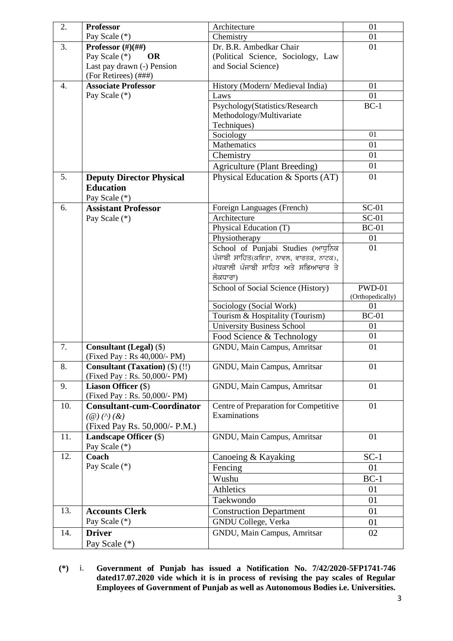| 2.  | <b>Professor</b>                                              | Architecture                            | 01               |
|-----|---------------------------------------------------------------|-----------------------------------------|------------------|
|     | Pay Scale (*)                                                 | Chemistry                               | 01               |
| 3.  | Professor $(\#)(\# \#)$                                       | Dr. B.R. Ambedkar Chair                 | 01               |
|     | Pay Scale (*)<br><b>OR</b>                                    | (Political Science, Sociology, Law      |                  |
|     | Last pay drawn (-) Pension                                    | and Social Science)                     |                  |
|     | (For Retirees) (###)                                          |                                         |                  |
| 4.  | <b>Associate Professor</b>                                    | History (Modern/ Medieval India)        | 01               |
|     | Pay Scale (*)                                                 | Laws                                    | 01               |
|     |                                                               | Psychology(Statistics/Research          | $BC-1$           |
|     |                                                               | Methodology/Multivariate                |                  |
|     |                                                               | Techniques)                             |                  |
|     |                                                               | Sociology                               | 01               |
|     |                                                               | Mathematics                             | 01               |
|     |                                                               | Chemistry                               | 01               |
|     |                                                               | <b>Agriculture (Plant Breeding)</b>     | 01               |
| 5.  | <b>Deputy Director Physical</b>                               | Physical Education & Sports (AT)        | 01               |
|     | <b>Education</b>                                              |                                         |                  |
|     | Pay Scale (*)                                                 |                                         |                  |
| 6.  | <b>Assistant Professor</b>                                    | Foreign Languages (French)              | $SC-01$          |
|     | Pay Scale (*)                                                 | Architecture                            | $SC-01$          |
|     |                                                               | Physical Education (T)                  | $BC-01$          |
|     |                                                               | Physiotherapy                           | 01               |
|     |                                                               | School of Punjabi Studies (ਆਧੁਨਿਕ       | 01               |
|     |                                                               | ਪੰਜਾਬੀ ਸਾਹਿਤ(ਕਵਿਤਾ, ਨਾਵਲ, ਵਾਰਤਕ, ਨਾਟਕ), |                  |
|     |                                                               | ਮੱਧਕਾਲੀ ਪੰਜਾਬੀ ਸਾਹਿਤ ਅਤੇ ਸਭਿਆਚਾਰ ਤੇ     |                  |
|     |                                                               | ਲੋਕਧਾਰਾ)                                |                  |
|     |                                                               | School of Social Science (History)      | <b>PWD-01</b>    |
|     |                                                               |                                         |                  |
|     |                                                               |                                         | (Orthopedically) |
|     |                                                               | Sociology (Social Work)                 | 01               |
|     |                                                               | Tourism & Hospitality (Tourism)         | $BC-01$<br>01    |
|     |                                                               | University Business School              | 01               |
| 7.  |                                                               | Food Science & Technology               | 01               |
|     | <b>Consultant (Legal) (\$)</b><br>(Fixed Pay: Rs 40,000/- PM) | GNDU, Main Campus, Amritsar             |                  |
| 8.  | Consultant (Taxation) (\$) (!!)                               | GNDU, Main Campus, Amritsar             | 01               |
|     | (Fixed Pay: Rs. 50,000/- PM)                                  |                                         |                  |
| 9.  | Liason Officer (\$)                                           | GNDU, Main Campus, Amritsar             | 01               |
|     | (Fixed Pay: Rs. 50,000/- PM)                                  |                                         |                  |
| 10. | <b>Consultant-cum-Coordinator</b>                             | Centre of Preparation for Competitive   | 01               |
|     | $(\omega)$ (^) $(\&)$                                         | Examinations                            |                  |
|     | (Fixed Pay Rs. 50,000/- P.M.)                                 |                                         |                  |
| 11. | Landscape Officer (\$)                                        | GNDU, Main Campus, Amritsar             | 01               |
|     | Pay Scale (*)                                                 |                                         |                  |
| 12. | Coach                                                         | Canoeing & Kayaking                     | $SC-1$           |
|     | Pay Scale (*)                                                 | Fencing                                 | 01               |
|     |                                                               | Wushu                                   | $BC-1$           |
|     |                                                               | Athletics                               | 01               |
|     |                                                               | Taekwondo                               | 01               |
| 13. | <b>Accounts Clerk</b>                                         | <b>Construction Department</b>          | 01               |
|     | Pay Scale (*)                                                 | GNDU College, Verka                     | 01               |
| 14. | <b>Driver</b>                                                 | GNDU, Main Campus, Amritsar             | 02               |

**(\*)** i. **Government of Punjab has issued a Notification No. 7/42/2020-5FP1741-746 dated17.07.2020 vide which it is in process of revising the pay scales of Regular Employees of Government of Punjab as well as Autonomous Bodies i.e. Universities.**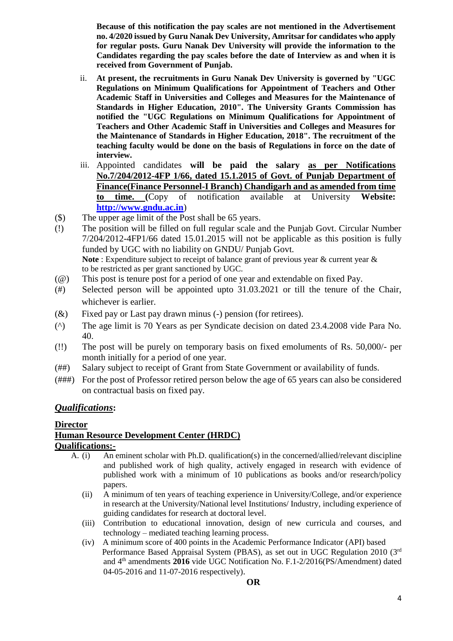**Because of this notification the pay scales are not mentioned in the Advertisement no. 4/2020 issued by Guru Nanak Dev University, Amritsar for candidates who apply for regular posts. Guru Nanak Dev University will provide the information to the Candidates regarding the pay scales before the date of Interview as and when it is received from Government of Punjab.**

- ii. **At present, the recruitments in Guru Nanak Dev University is governed by "UGC Regulations on Minimum Qualifications for Appointment of Teachers and Other Academic Staff in Universities and Colleges and Measures for the Maintenance of Standards in Higher Education, 2010". The University Grants Commission has notified the "UGC Regulations on Minimum Qualifications for Appointment of Teachers and Other Academic Staff in Universities and Colleges and Measures for the Maintenance of Standards in Higher Education, 2018". The recruitment of the teaching faculty would be done on the basis of Regulations in force on the date of interview.**
- iii. Appointed candidates **will be paid the salary as per Notifications No.7/204/2012-4FP 1/66, dated 15.1.2015 of Govt. of Punjab Department of Finance(Finance Personnel-I Branch) Chandigarh and as amended from time to time. (**Copy of notification available at University **Website: [http://www.gndu.ac.in](http://www.gndu.ac.in/careerwithus.asp)**)
- (\$) The upper age limit of the Post shall be 65 years.
- (!) The position will be filled on full regular scale and the Punjab Govt. Circular Number 7/204/2012-4FP1/66 dated 15.01.2015 will not be applicable as this position is fully funded by UGC with no liability on GNDU/ Punjab Govt. **Note** : Expenditure subject to receipt of balance grant of previous year & current year & to be restricted as per grant sanctioned by UGC.
- (@) This post is tenure post for a period of one year and extendable on fixed Pay.
- (#) Selected person will be appointed upto 31.03.2021 or till the tenure of the Chair, whichever is earlier.
- (&) Fixed pay or Last pay drawn minus (-) pension (for retirees).
- (^) The age limit is 70 Years as per Syndicate decision on dated 23.4.2008 vide Para No. 40.
- (!!) The post will be purely on temporary basis on fixed emoluments of Rs. 50,000/- per month initially for a period of one year*.*
- (##) Salary subject to receipt of Grant from State Government or availability of funds.
- (###) For the post of Professor retired person below the age of 65 years can also be considered on contractual basis on fixed pay.

## *Qualifications***:**

### **Director Human Resource Development Center (HRDC) Qualifications:-**

- A. (i) An eminent scholar with Ph.D. qualification(s) in the concerned/allied/relevant discipline and published work of high quality, actively engaged in research with evidence of published work with a minimum of 10 publications as books and/or research/policy papers.
	- (ii) A minimum of ten years of teaching experience in University/College, and/or experience in research at the University/National level Institutions/ Industry, including experience of guiding candidates for research at doctoral level.
	- (iii) Contribution to educational innovation, design of new curricula and courses, and technology – mediated teaching learning process.
	- (iv) A minimum score of 400 points in the Academic Performance Indicator (API) based Performance Based Appraisal System (PBAS), as set out in UGC Regulation 2010 (3rd and 4th amendments **2016** vide UGC Notification No. F.1-2/2016(PS/Amendment) dated 04-05-2016 and 11-07-2016 respectively).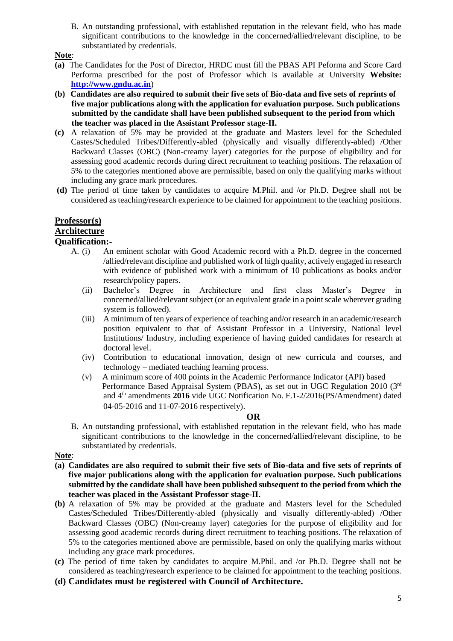B. An outstanding professional, with established reputation in the relevant field, who has made significant contributions to the knowledge in the concerned/allied/relevant discipline, to be substantiated by credentials.

### **Note**:

- **(a)** The Candidates for the Post of Director, HRDC must fill the PBAS API Peforma and Score Card Performa prescribed for the post of Professor which is available at University **Website: [http://www.gndu.ac.in](http://www.gndu.ac.in/careerwithus.asp)**)
- **(b) Candidates are also required to submit their five sets of Bio-data and five sets of reprints of five major publications along with the application for evaluation purpose. Such publications submitted by the candidate shall have been published subsequent to the period from which the teacher was placed in the Assistant Professor stage-II.**
- **(c)** A relaxation of 5% may be provided at the graduate and Masters level for the Scheduled Castes/Scheduled Tribes/Differently-abled (physically and visually differently-abled) /Other Backward Classes (OBC) (Non-creamy layer) categories for the purpose of eligibility and for assessing good academic records during direct recruitment to teaching positions. The relaxation of 5% to the categories mentioned above are permissible, based on only the qualifying marks without including any grace mark procedures.
- **(d)** The period of time taken by candidates to acquire M.Phil. and /or Ph.D. Degree shall not be considered as teaching/research experience to be claimed for appointment to the teaching positions.

# **Professor(s)**

# **Architecture**

## **Qualification:-**

- A. (i) An eminent scholar with Good Academic record with a Ph.D. degree in the concerned /allied/relevant discipline and published work of high quality, actively engaged in research with evidence of published work with a minimum of 10 publications as books and/or research/policy papers.
	- (ii) Bachelor's Degree in Architecture and first class Master's Degree in concerned/allied/relevant subject (or an equivalent grade in a point scale wherever grading system is followed).
	- (iii) A minimum of ten years of experience of teaching and/or research in an academic/research position equivalent to that of Assistant Professor in a University, National level Institutions/ Industry, including experience of having guided candidates for research at doctoral level.
	- (iv) Contribution to educational innovation, design of new curricula and courses, and technology – mediated teaching learning process.
	- (v) A minimum score of 400 points in the Academic Performance Indicator (API) based Performance Based Appraisal System (PBAS), as set out in UGC Regulation 2010 (3rd and 4th amendments **2016** vide UGC Notification No. F.1-2/2016(PS/Amendment) dated 04-05-2016 and 11-07-2016 respectively).

### **OR**

B. An outstanding professional, with established reputation in the relevant field, who has made significant contributions to the knowledge in the concerned/allied/relevant discipline, to be substantiated by credentials.

**Note**:

- **(a) Candidates are also required to submit their five sets of Bio-data and five sets of reprints of five major publications along with the application for evaluation purpose. Such publications submitted by the candidate shall have been published subsequent to the period from which the teacher was placed in the Assistant Professor stage-II.**
- **(b)** A relaxation of 5% may be provided at the graduate and Masters level for the Scheduled Castes/Scheduled Tribes/Differently-abled (physically and visually differently-abled) /Other Backward Classes (OBC) (Non-creamy layer) categories for the purpose of eligibility and for assessing good academic records during direct recruitment to teaching positions. The relaxation of 5% to the categories mentioned above are permissible, based on only the qualifying marks without including any grace mark procedures.
- **(c)** The period of time taken by candidates to acquire M.Phil. and /or Ph.D. Degree shall not be considered as teaching/research experience to be claimed for appointment to the teaching positions.
- **(d) Candidates must be registered with Council of Architecture.**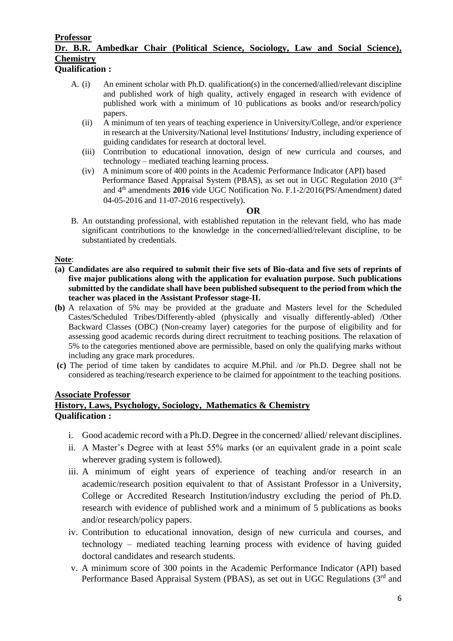# **Professor Dr. B.R. Ambedkar Chair (Political Science, Sociology, Law and Social Science), Chemistry**

**Qualification :**

- A. (i) An eminent scholar with Ph.D. qualification(s) in the concerned/allied/relevant discipline and published work of high quality, actively engaged in research with evidence of published work with a minimum of 10 publications as books and/or research/policy papers.
	- (ii) A minimum of ten years of teaching experience in University/College, and/or experience in research at the University/National level Institutions/ Industry, including experience of guiding candidates for research at doctoral level.
	- (iii) Contribution to educational innovation, design of new curricula and courses, and technology – mediated teaching learning process.
	- (iv) A minimum score of 400 points in the Academic Performance Indicator (API) based Performance Based Appraisal System (PBAS), as set out in UGC Regulation 2010 (3rd and 4th amendments **2016** vide UGC Notification No. F.1-2/2016(PS/Amendment) dated 04-05-2016 and 11-07-2016 respectively).

### **OR**

B. An outstanding professional, with established reputation in the relevant field, who has made significant contributions to the knowledge in the concerned/allied/relevant discipline, to be substantiated by credentials.

### **Note**:

- **(a) Candidates are also required to submit their five sets of Bio-data and five sets of reprints of five major publications along with the application for evaluation purpose. Such publications submitted by the candidate shall have been published subsequent to the period from which the teacher was placed in the Assistant Professor stage-II.**
- **(b)** A relaxation of 5% may be provided at the graduate and Masters level for the Scheduled Castes/Scheduled Tribes/Differently-abled (physically and visually differently-abled) /Other Backward Classes (OBC) (Non-creamy layer) categories for the purpose of eligibility and for assessing good academic records during direct recruitment to teaching positions. The relaxation of 5% to the categories mentioned above are permissible, based on only the qualifying marks without including any grace mark procedures.
- **(c)** The period of time taken by candidates to acquire M.Phil. and /or Ph.D. Degree shall not be considered as teaching/research experience to be claimed for appointment to the teaching positions.

### **Associate Professor History, Laws, Psychology, Sociology, Mathematics & Chemistry**

## **Qualification :**

- i. Good academic record with a Ph.D. Degree in the concerned/ allied/ relevant disciplines.
- ii. A Master's Degree with at least 55% marks (or an equivalent grade in a point scale wherever grading system is followed).
- iii. A minimum of eight years of experience of teaching and/or research in an academic/research position equivalent to that of Assistant Professor in a University, College or Accredited Research Institution/industry excluding the period of Ph.D. research with evidence of published work and a minimum of 5 publications as books and/or research/policy papers.
- iv. Contribution to educational innovation, design of new curricula and courses, and technology – mediated teaching learning process with evidence of having guided doctoral candidates and research students.
- v. A minimum score of 300 points in the Academic Performance Indicator (API) based Performance Based Appraisal System (PBAS), as set out in UGC Regulations (3rd and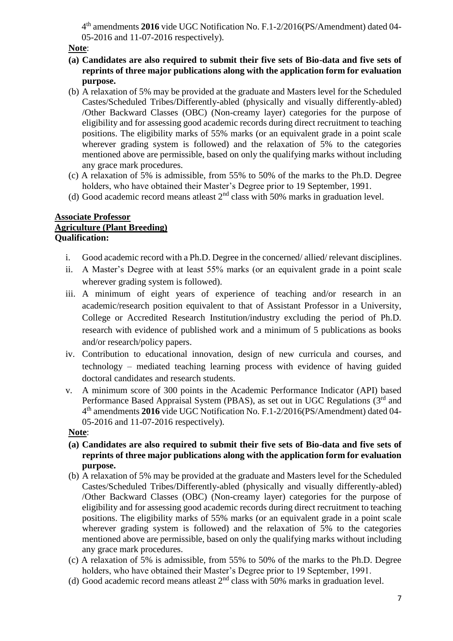4 th amendments **2016** vide UGC Notification No. F.1-2/2016(PS/Amendment) dated 04- 05-2016 and 11-07-2016 respectively).

## **Note**:

- **(a) Candidates are also required to submit their five sets of Bio-data and five sets of reprints of three major publications along with the application form for evaluation purpose.**
- (b) A relaxation of 5% may be provided at the graduate and Masters level for the Scheduled Castes/Scheduled Tribes/Differently-abled (physically and visually differently-abled) /Other Backward Classes (OBC) (Non-creamy layer) categories for the purpose of eligibility and for assessing good academic records during direct recruitment to teaching positions. The eligibility marks of 55% marks (or an equivalent grade in a point scale wherever grading system is followed) and the relaxation of 5% to the categories mentioned above are permissible, based on only the qualifying marks without including any grace mark procedures.
- (c) A relaxation of 5% is admissible, from 55% to 50% of the marks to the Ph.D. Degree holders, who have obtained their Master's Degree prior to 19 September, 1991.
- (d) Good academic record means at least  $2<sup>nd</sup>$  class with 50% marks in graduation level.

## **Associate Professor Agriculture (Plant Breeding) Qualification:**

- i. Good academic record with a Ph.D. Degree in the concerned/ allied/ relevant disciplines.
- ii. A Master's Degree with at least 55% marks (or an equivalent grade in a point scale wherever grading system is followed).
- iii. A minimum of eight years of experience of teaching and/or research in an academic/research position equivalent to that of Assistant Professor in a University, College or Accredited Research Institution/industry excluding the period of Ph.D. research with evidence of published work and a minimum of 5 publications as books and/or research/policy papers.
- iv. Contribution to educational innovation, design of new curricula and courses, and technology – mediated teaching learning process with evidence of having guided doctoral candidates and research students.
- v. A minimum score of 300 points in the Academic Performance Indicator (API) based Performance Based Appraisal System (PBAS), as set out in UGC Regulations (3<sup>rd</sup> and 4 th amendments **2016** vide UGC Notification No. F.1-2/2016(PS/Amendment) dated 04- 05-2016 and 11-07-2016 respectively).

# **Note**:

- **(a) Candidates are also required to submit their five sets of Bio-data and five sets of reprints of three major publications along with the application form for evaluation purpose.**
- (b) A relaxation of 5% may be provided at the graduate and Masters level for the Scheduled Castes/Scheduled Tribes/Differently-abled (physically and visually differently-abled) /Other Backward Classes (OBC) (Non-creamy layer) categories for the purpose of eligibility and for assessing good academic records during direct recruitment to teaching positions. The eligibility marks of 55% marks (or an equivalent grade in a point scale wherever grading system is followed) and the relaxation of 5% to the categories mentioned above are permissible, based on only the qualifying marks without including any grace mark procedures.
- (c) A relaxation of 5% is admissible, from 55% to 50% of the marks to the Ph.D. Degree holders, who have obtained their Master's Degree prior to 19 September, 1991.
- (d) Good academic record means atleast 2nd class with 50% marks in graduation level.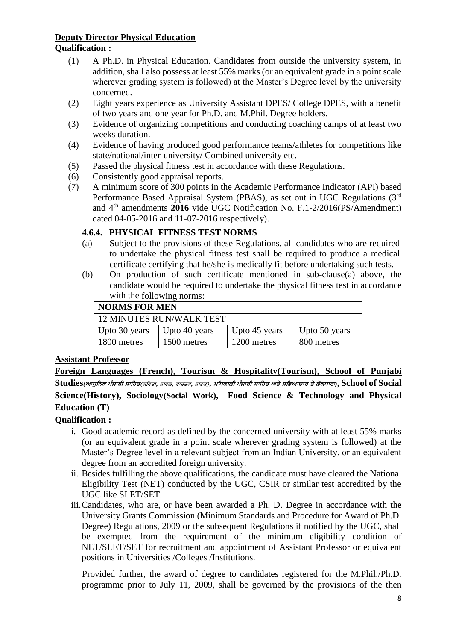## **Deputy Director Physical Education Qualification :**

- (1) A Ph.D. in Physical Education. Candidates from outside the university system, in addition, shall also possess at least 55% marks (or an equivalent grade in a point scale wherever grading system is followed) at the Master's Degree level by the university concerned.
- (2) Eight years experience as University Assistant DPES/ College DPES, with a benefit of two years and one year for Ph.D. and M.Phil. Degree holders.
- (3) Evidence of organizing competitions and conducting coaching camps of at least two weeks duration.
- (4) Evidence of having produced good performance teams/athletes for competitions like state/national/inter-university/ Combined university etc.
- (5) Passed the physical fitness test in accordance with these Regulations.
- (6) Consistently good appraisal reports.
- (7) A minimum score of 300 points in the Academic Performance Indicator (API) based Performance Based Appraisal System (PBAS), as set out in UGC Regulations (3rd and 4th amendments **2016** vide UGC Notification No. F.1-2/2016(PS/Amendment) dated 04-05-2016 and 11-07-2016 respectively).

## **4.6.4. PHYSICAL FITNESS TEST NORMS**

- (a) Subject to the provisions of these Regulations, all candidates who are required to undertake the physical fitness test shall be required to produce a medical certificate certifying that he/she is medically fit before undertaking such tests.
- (b) On production of such certificate mentioned in sub-clause(a) above, the candidate would be required to undertake the physical fitness test in accordance with the following norms:

| <b>NORMS FOR MEN</b>     |               |               |               |  |  |  |
|--------------------------|---------------|---------------|---------------|--|--|--|
| 12 MINUTES RUN/WALK TEST |               |               |               |  |  |  |
| Upto 30 years            | Upto 40 years | Upto 45 years | Upto 50 years |  |  |  |
| 1800 metres              | 1500 metres   | 1200 metres   | 800 metres    |  |  |  |

# **Assistant Professor**

**Foreign Languages (French), Tourism & Hospitality(Tourism), School of Punjabi**   $\text{Studies}(\text{m}$ पुरिव ਪੰਜਾਬੀ ਸਾਹਿਤ(ਕਵਿਤਾ, ਨਾਵਲ, ਵਾਰਤਕ, ਨਾਟਕ), ਮੱਧਕਾਲੀ ਪੰਜਾਬੀ ਸਾਹਿਤ ਅਤੇ ਸਭਿਆਚਾਰ ਤੇ ਲੋਕਧਾਰਾ),  $\text{School of Social}$ **Science(History), Sociology(Social Work), Food Science & Technology and Physical** 

# **Education (T)**

# **Qualification :**

- i. Good academic record as defined by the concerned university with at least 55% marks (or an equivalent grade in a point scale wherever grading system is followed) at the Master's Degree level in a relevant subject from an Indian University, or an equivalent degree from an accredited foreign university.
- ii. Besides fulfilling the above qualifications, the candidate must have cleared the National Eligibility Test (NET) conducted by the UGC, CSIR or similar test accredited by the UGC like SLET/SET.
- iii.Candidates, who are, or have been awarded a Ph. D. Degree in accordance with the University Grants Commission (Minimum Standards and Procedure for Award of Ph.D. Degree) Regulations, 2009 or the subsequent Regulations if notified by the UGC, shall be exempted from the requirement of the minimum eligibility condition of NET/SLET/SET for recruitment and appointment of Assistant Professor or equivalent positions in Universities /Colleges /Institutions.

Provided further, the award of degree to candidates registered for the M.Phil./Ph.D. programme prior to July 11, 2009, shall be governed by the provisions of the then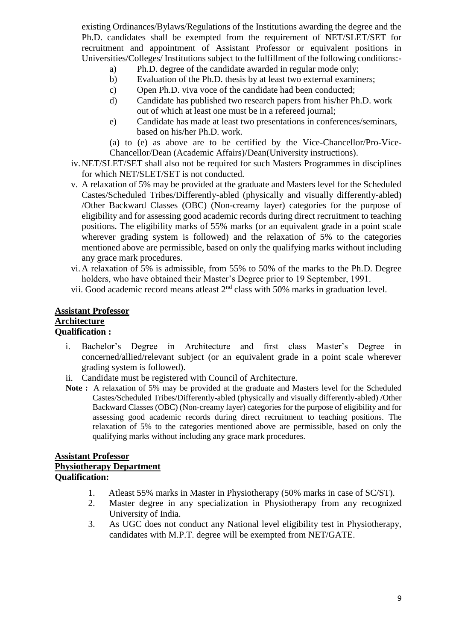existing Ordinances/Bylaws/Regulations of the Institutions awarding the degree and the Ph.D. candidates shall be exempted from the requirement of NET/SLET/SET for recruitment and appointment of Assistant Professor or equivalent positions in Universities/Colleges/ Institutions subject to the fulfillment of the following conditions:-

- a) Ph.D. degree of the candidate awarded in regular mode only;
- b) Evaluation of the Ph.D. thesis by at least two external examiners;
- c) Open Ph.D. viva voce of the candidate had been conducted;
- d) Candidate has published two research papers from his/her Ph.D. work out of which at least one must be in a refereed journal;
- e) Candidate has made at least two presentations in conferences/seminars, based on his/her Ph.D. work.
- (a) to (e) as above are to be certified by the Vice-Chancellor/Pro-Vice-Chancellor/Dean (Academic Affairs)/Dean(University instructions).
- iv.NET/SLET/SET shall also not be required for such Masters Programmes in disciplines for which NET/SLET/SET is not conducted.
- v. A relaxation of 5% may be provided at the graduate and Masters level for the Scheduled Castes/Scheduled Tribes/Differently-abled (physically and visually differently-abled) /Other Backward Classes (OBC) (Non-creamy layer) categories for the purpose of eligibility and for assessing good academic records during direct recruitment to teaching positions. The eligibility marks of 55% marks (or an equivalent grade in a point scale wherever grading system is followed) and the relaxation of 5% to the categories mentioned above are permissible, based on only the qualifying marks without including any grace mark procedures.
- vi.A relaxation of 5% is admissible, from 55% to 50% of the marks to the Ph.D. Degree holders, who have obtained their Master's Degree prior to 19 September, 1991.
- vii. Good academic record means at least  $2<sup>nd</sup>$  class with 50% marks in graduation level.

## **Assistant Professor Architecture Qualification :**

- i. Bachelor's Degree in Architecture and first class Master's Degree in concerned/allied/relevant subject (or an equivalent grade in a point scale wherever grading system is followed).
- ii. Candidate must be registered with Council of Architecture.
- **Note :** A relaxation of 5% may be provided at the graduate and Masters level for the Scheduled Castes/Scheduled Tribes/Differently-abled (physically and visually differently-abled) /Other Backward Classes (OBC) (Non-creamy layer) categories for the purpose of eligibility and for assessing good academic records during direct recruitment to teaching positions. The relaxation of 5% to the categories mentioned above are permissible, based on only the qualifying marks without including any grace mark procedures.

## **Assistant Professor Physiotherapy Department Qualification:**

- 1. Atleast 55% marks in Master in Physiotherapy (50% marks in case of SC/ST).
- 2. Master degree in any specialization in Physiotherapy from any recognized University of India.
- 3. As UGC does not conduct any National level eligibility test in Physiotherapy, candidates with M.P.T. degree will be exempted from NET/GATE.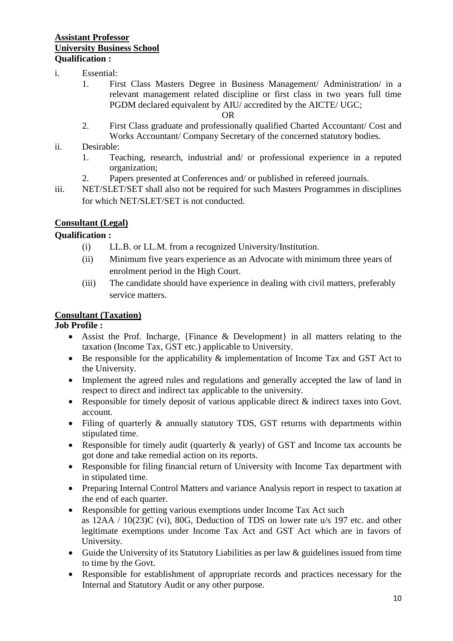## **Assistant Professor University Business School Qualification :**

- i. Essential:
	- 1. First Class Masters Degree in Business Management/ Administration/ in a relevant management related discipline or first class in two years full time PGDM declared equivalent by AIU/ accredited by the AICTE/ UGC;

### OR

- 2. First Class graduate and professionally qualified Charted Accountant/ Cost and Works Accountant/ Company Secretary of the concerned statutory bodies.
- ii. Desirable:
	- 1. Teaching, research, industrial and/ or professional experience in a reputed organization;
	- 2. Papers presented at Conferences and/ or published in refereed journals.
- iii. NET/SLET/SET shall also not be required for such Masters Programmes in disciplines for which NET/SLET/SET is not conducted.

## **Consultant (Legal)**

## **Qualification :**

- (i) LL.B. or LL.M. from a recognized University/Institution.
- (ii) Minimum five years experience as an Advocate with minimum three years of enrolment period in the High Court.
- (iii) The candidate should have experience in dealing with civil matters, preferably service matters.

## **Consultant (Taxation)**

## **Job Profile :**

- Assist the Prof. Incharge, {Finance & Development} in all matters relating to the taxation (Income Tax, GST etc.) applicable to University.
- Be responsible for the applicability & implementation of Income Tax and GST Act to the University.
- Implement the agreed rules and regulations and generally accepted the law of land in respect to direct and indirect tax applicable to the university.
- Responsible for timely deposit of various applicable direct & indirect taxes into Govt. account.
- Filing of quarterly & annually statutory TDS, GST returns with departments within stipulated time.
- Responsible for timely audit (quarterly & yearly) of GST and Income tax accounts be got done and take remedial action on its reports.
- Responsible for filing financial return of University with Income Tax department with in stipulated time.
- Preparing Internal Control Matters and variance Analysis report in respect to taxation at the end of each quarter.
- Responsible for getting various exemptions under Income Tax Act such as 12AA / 10(23)C (vi), 80G, Deduction of TDS on lower rate u/s 197 etc. and other legitimate exemptions under Income Tax Act and GST Act which are in favors of University.
- Guide the University of its Statutory Liabilities as per law & guidelines issued from time to time by the Govt.
- Responsible for establishment of appropriate records and practices necessary for the Internal and Statutory Audit or any other purpose.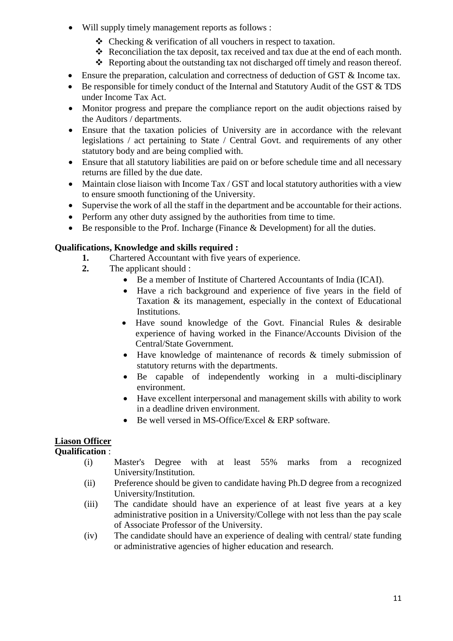- Will supply timely management reports as follows :
	- Checking & verification of all vouchers in respect to taxation.
	- Reconciliation the tax deposit, tax received and tax due at the end of each month.
	- $\triangle$  Reporting about the outstanding tax not discharged off timely and reason thereof.
- Ensure the preparation, calculation and correctness of deduction of GST & Income tax.
- $\bullet$  Be responsible for timely conduct of the Internal and Statutory Audit of the GST  $\&$  TDS under Income Tax Act.
- Monitor progress and prepare the compliance report on the audit objections raised by the Auditors / departments.
- Ensure that the taxation policies of University are in accordance with the relevant legislations / act pertaining to State / Central Govt. and requirements of any other statutory body and are being complied with.
- Ensure that all statutory liabilities are paid on or before schedule time and all necessary returns are filled by the due date.
- Maintain close liaison with Income Tax / GST and local statutory authorities with a view to ensure smooth functioning of the University.
- Supervise the work of all the staff in the department and be accountable for their actions.
- Perform any other duty assigned by the authorities from time to time.
- $\bullet$  Be responsible to the Prof. Incharge (Finance & Development) for all the duties.

## **Qualifications, Knowledge and skills required :**

- **1.** Chartered Accountant with five years of experience.
- **2.** The applicant should :
	- Be a member of Institute of Chartered Accountants of India (ICAI).
	- Have a rich background and experience of five years in the field of Taxation & its management, especially in the context of Educational Institutions.
	- Have sound knowledge of the Govt. Financial Rules & desirable experience of having worked in the Finance/Accounts Division of the Central/State Government.
	- Have knowledge of maintenance of records & timely submission of statutory returns with the departments.
	- Be capable of independently working in a multi-disciplinary environment.
	- Have excellent interpersonal and management skills with ability to work in a deadline driven environment.
	- Be well versed in MS-Office/Excel & ERP software.

# **Liason Officer**

## **Qualification** :

- (i) Master's Degree with at least 55% marks from a recognized University/Institution.
- (ii) Preference should be given to candidate having Ph.D degree from a recognized University/Institution.
- (iii) The candidate should have an experience of at least five years at a key administrative position in a University/College with not less than the pay scale of Associate Professor of the University.
- (iv) The candidate should have an experience of dealing with central/ state funding or administrative agencies of higher education and research.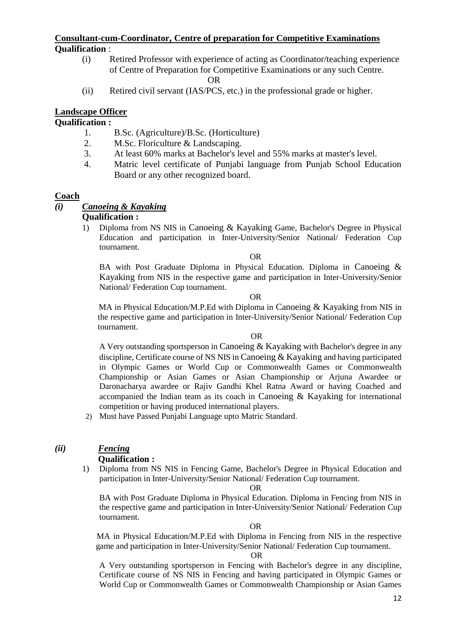## **Consultant-cum-Coordinator, Centre of preparation for Competitive Examinations Qualification** :

(i) Retired Professor with experience of acting as Coordinator/teaching experience of Centre of Preparation for Competitive Examinations or any such Centre.

**OR** OF THE STATE OF THE STATE OF THE STATE OF THE STATE OF THE STATE OF THE STATE OF THE STATE OF THE STATE OF THE STATE OF THE STATE OF THE STATE OF THE STATE OF THE STATE OF THE STATE OF THE STATE OF THE STATE OF THE ST

(ii) Retired civil servant (IAS/PCS, etc.) in the professional grade or higher.

## **Landscape Officer**

## **Qualification :**

- 1. B.Sc. (Agriculture)/B.Sc. (Horticulture)
- 2. M.Sc. Floriculture & Landscaping.
- 3. At least 60% marks at Bachelor's level and 55% marks at master's level.
- 4. Matric level certificate of Punjabi language from Punjab School Education Board or any other recognized board.

## **Coach**

## *(i) Canoeing & Kayaking*

## **Qualification :**

1) Diploma from NS NIS in Canoeing & Kayaking Game, Bachelor's Degree in Physical Education and participation in Inter-University/Senior National/ Federation Cup tournament.

OR

BA with Post Graduate Diploma in Physical Education. Diploma in Canoeing & Kayaking from NIS in the respective game and participation in Inter-University/Senior National/ Federation Cup tournament.

### OR

 MA in Physical Education/M.P.Ed with Diploma in Canoeing & Kayaking from NIS in the respective game and participation in Inter-University/Senior National/ Federation Cup tournament.

### OR

A Very outstanding sportsperson in Canoeing & Kayaking with Bachelor's degree in any discipline, Certificate course of NS NIS in Canoeing & Kayaking and having participated in Olympic Games or World Cup or Commonwealth Games or Commonwealth Championship or Asian Games or Asian Championship or Arjuna Awardee or Daronacharya awardee or Rajiv Gandhi Khel Ratna Award or having Coached and accompanied the Indian team as its coach in Canoeing  $\&$  Kayaking for international competition or having produced international players.

2) Must have Passed Punjabi Language upto Matric Standard.

# *(ii) Fencing*

# **Qualification :**

1) Diploma from NS NIS in Fencing Game, Bachelor's Degree in Physical Education and participation in Inter-University/Senior National/ Federation Cup tournament.

### OR

BA with Post Graduate Diploma in Physical Education. Diploma in Fencing from NIS in the respective game and participation in Inter-University/Senior National/ Federation Cup tournament.

### OR

 MA in Physical Education/M.P.Ed with Diploma in Fencing from NIS in the respective game and participation in Inter-University/Senior National/ Federation Cup tournament.

### OR

A Very outstanding sportsperson in Fencing with Bachelor's degree in any discipline, Certificate course of NS NIS in Fencing and having participated in Olympic Games or World Cup or Commonwealth Games or Commonwealth Championship or Asian Games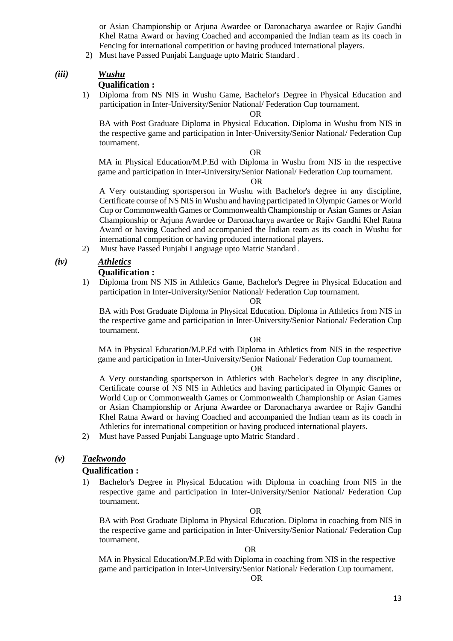or Asian Championship or Arjuna Awardee or Daronacharya awardee or Rajiv Gandhi Khel Ratna Award or having Coached and accompanied the Indian team as its coach in Fencing for international competition or having produced international players.

2) Must have Passed Punjabi Language upto Matric Standard .

### *(iii) Wushu*

### **Qualification :**

1) Diploma from NS NIS in Wushu Game, Bachelor's Degree in Physical Education and participation in Inter-University/Senior National/ Federation Cup tournament.

OR

BA with Post Graduate Diploma in Physical Education. Diploma in Wushu from NIS in the respective game and participation in Inter-University/Senior National/ Federation Cup tournament.

OR

 MA in Physical Education/M.P.Ed with Diploma in Wushu from NIS in the respective game and participation in Inter-University/Senior National/ Federation Cup tournament.

OR

A Very outstanding sportsperson in Wushu with Bachelor's degree in any discipline, Certificate course of NS NIS in Wushu and having participated in Olympic Games or World Cup or Commonwealth Games or Commonwealth Championship or Asian Games or Asian Championship or Arjuna Awardee or Daronacharya awardee or Rajiv Gandhi Khel Ratna Award or having Coached and accompanied the Indian team as its coach in Wushu for international competition or having produced international players.

2) Must have Passed Punjabi Language upto Matric Standard .

## *(iv) Athletics*

## **Qualification :**

1) Diploma from NS NIS in Athletics Game, Bachelor's Degree in Physical Education and participation in Inter-University/Senior National/ Federation Cup tournament.

### OR

BA with Post Graduate Diploma in Physical Education. Diploma in Athletics from NIS in the respective game and participation in Inter-University/Senior National/ Federation Cup tournament.

### OR

 MA in Physical Education/M.P.Ed with Diploma in Athletics from NIS in the respective game and participation in Inter-University/Senior National/ Federation Cup tournament.

OR

A Very outstanding sportsperson in Athletics with Bachelor's degree in any discipline, Certificate course of NS NIS in Athletics and having participated in Olympic Games or World Cup or Commonwealth Games or Commonwealth Championship or Asian Games or Asian Championship or Arjuna Awardee or Daronacharya awardee or Rajiv Gandhi Khel Ratna Award or having Coached and accompanied the Indian team as its coach in Athletics for international competition or having produced international players.

2) Must have Passed Punjabi Language upto Matric Standard .

### *(v) Taekwondo*

## **Qualification :**

1) Bachelor's Degree in Physical Education with Diploma in coaching from NIS in the respective game and participation in Inter-University/Senior National/ Federation Cup tournament.

OR

BA with Post Graduate Diploma in Physical Education. Diploma in coaching from NIS in the respective game and participation in Inter-University/Senior National/ Federation Cup tournament.

### OR

 MA in Physical Education/M.P.Ed with Diploma in coaching from NIS in the respective game and participation in Inter-University/Senior National/ Federation Cup tournament.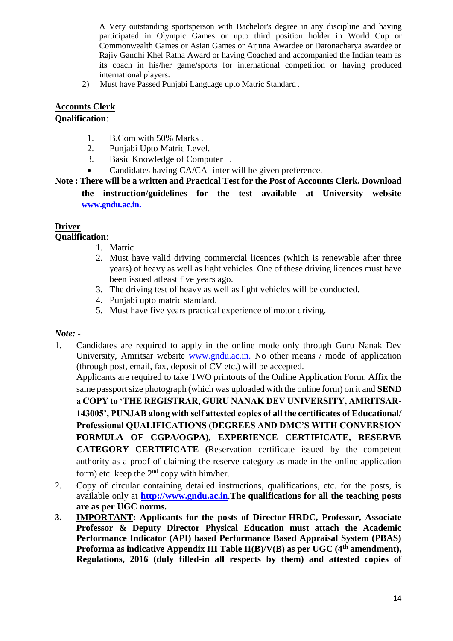A Very outstanding sportsperson with Bachelor's degree in any discipline and having participated in Olympic Games or upto third position holder in World Cup or Commonwealth Games or Asian Games or Arjuna Awardee or Daronacharya awardee or Rajiv Gandhi Khel Ratna Award or having Coached and accompanied the Indian team as its coach in his/her game/sports for international competition or having produced international players.

2) Must have Passed Punjabi Language upto Matric Standard .

## **Accounts Clerk**

## **Qualification**:

- 1. B.Com with 50% Marks .
- 2. Punjabi Upto Matric Level.
- 3. Basic Knowledge of Computer .
- Candidates having CA/CA- inter will be given preference.
- **Note : There will be a written and Practical Test for the Post of Accounts Clerk. Download the instruction/guidelines for the test available at University website [www.gndu.ac.in.](http://www.gndu.ac.in/)**

# **Driver**

## **Qualification**:

- 1. Matric
- 2. Must have valid driving commercial licences (which is renewable after three years) of heavy as well as light vehicles. One of these driving licences must have been issued atleast five years ago.
- 3. The driving test of heavy as well as light vehicles will be conducted.
- 4. Punjabi upto matric standard.
- 5. Must have five years practical experience of motor driving.

## *Note: -*

1. Candidates are required to apply in the online mode only through Guru Nanak Dev University, Amritsar website www.gndu.ac.in. No other means / mode of application (through post, email, fax, deposit of CV etc.) will be accepted.

Applicants are required to take TWO printouts of the Online Application Form. Affix the same passport size photograph (which was uploaded with the online form) on it and **SEND a COPY to 'THE REGISTRAR, GURU NANAK DEV UNIVERSITY, AMRITSAR-143005', PUNJAB along with self attested copies of all the certificates of Educational/ Professional QUALIFICATIONS (DEGREES AND DMC'S WITH CONVERSION FORMULA OF CGPA/OGPA), EXPERIENCE CERTIFICATE, RESERVE CATEGORY CERTIFICATE (**Reservation certificate issued by the competent authority as a proof of claiming the reserve category as made in the online application form) etc. keep the  $2<sup>nd</sup>$  copy with him/her.

- 2. Copy of circular containing detailed instructions, qualifications, etc. for the posts, is available only at **[http://www.gndu.ac.in](http://www.gndu.ac.in/)**.**The qualifications for all the teaching posts are as per UGC norms.**
- **3. IMPORTANT: Applicants for the posts of Director-HRDC, Professor, Associate Professor & Deputy Director Physical Education must attach the Academic Performance Indicator (API) based Performance Based Appraisal System (PBAS) Proforma as indicative Appendix III Table II(B)/V(B) as per UGC (4th amendment), Regulations, 2016 (duly filled-in all respects by them) and attested copies of**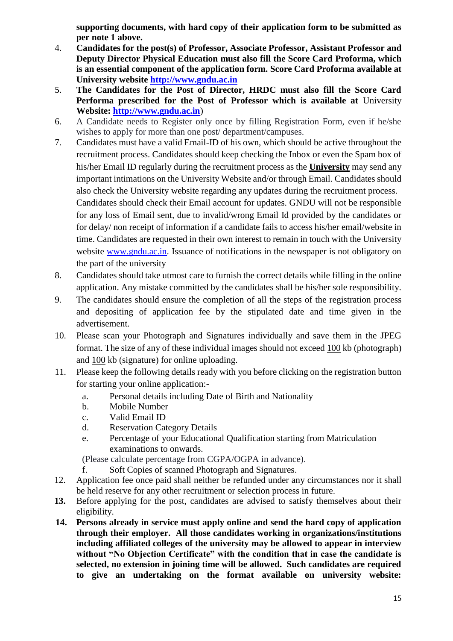**supporting documents, with hard copy of their application form to be submitted as per note 1 above.**

- 4. **Candidates for the post(s) of Professor, Associate Professor, Assistant Professor and Deputy Director Physical Education must also fill the Score Card Proforma, which is an essential component of the application form. Score Card Proforma available at University website [http://www.gndu.ac.in](http://www.gndu.ac.in/)**
- 5. **The Candidates for the Post of Director, HRDC must also fill the Score Card Performa prescribed for the Post of Professor which is available at** University **Website: [http://www.gndu.ac.in](http://www.gndu.ac.in/careerwithus.asp)**)
- 6. A Candidate needs to Register only once by filling Registration Form, even if he/she wishes to apply for more than one post/department/campuses.
- 7. Candidates must have a valid Email-ID of his own, which should be active throughout the recruitment process. Candidates should keep checking the Inbox or even the Spam box of his/her Email ID regularly during the recruitment process as the **University** may send any important intimations on the University Website and/or through Email. Candidates should also check the University website regarding any updates during the recruitment process. Candidates should check their Email account for updates. GNDU will not be responsible for any loss of Email sent, due to invalid/wrong Email Id provided by the candidates or for delay/ non receipt of information if a candidate fails to access his/her email/website in time. Candidates are requested in their own interest to remain in touch with the University website [www.gndu.ac.in.](http://www.gndu.ac.in/) Issuance of notifications in the newspaper is not obligatory on the part of the university
- 8. Candidates should take utmost care to furnish the correct details while filling in the online application. Any mistake committed by the candidates shall be his/her sole responsibility.
- 9. The candidates should ensure the completion of all the steps of the registration process and depositing of application fee by the stipulated date and time given in the advertisement.
- 10. Please scan your Photograph and Signatures individually and save them in the JPEG format. The size of any of these individual images should not exceed 100 kb (photograph) and 100 kb (signature) for online uploading.
- 11. Please keep the following details ready with you before clicking on the registration button for starting your online application:
	- a. Personal details including Date of Birth and Nationality
	- b. Mobile Number
	- c. Valid Email ID
	- d. Reservation Category Details
	- e. Percentage of your Educational Qualification starting from Matriculation examinations to onwards.

(Please calculate percentage from CGPA/OGPA in advance).

- f. Soft Copies of scanned Photograph and Signatures.
- 12. Application fee once paid shall neither be refunded under any circumstances nor it shall be held reserve for any other recruitment or selection process in future.
- **13.** Before applying for the post, candidates are advised to satisfy themselves about their eligibility.
- **14. Persons already in service must apply online and send the hard copy of application through their employer. All those candidates working in organizations/institutions including affiliated colleges of the university may be allowed to appear in interview without "No Objection Certificate" with the condition that in case the candidate is selected, no extension in joining time will be allowed. Such candidates are required to give an undertaking on the format available on university website:**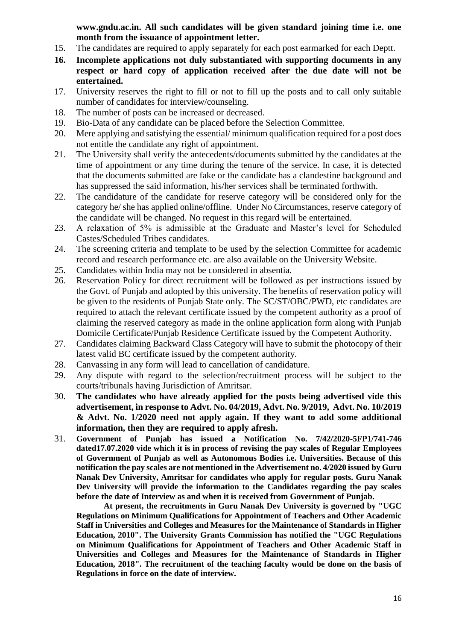**www.gndu.ac.in. All such candidates will be given standard joining time i.e. one month from the issuance of appointment letter.** 

- 15. The candidates are required to apply separately for each post earmarked for each Deptt.
- **16. Incomplete applications not duly substantiated with supporting documents in any respect or hard copy of application received after the due date will not be entertained.**
- 17. University reserves the right to fill or not to fill up the posts and to call only suitable number of candidates for interview/counseling.
- 18. The number of posts can be increased or decreased.
- 19. Bio-Data of any candidate can be placed before the Selection Committee.
- 20. Mere applying and satisfying the essential/ minimum qualification required for a post does not entitle the candidate any right of appointment.
- 21. The University shall verify the antecedents/documents submitted by the candidates at the time of appointment or any time during the tenure of the service. In case, it is detected that the documents submitted are fake or the candidate has a clandestine background and has suppressed the said information, his/her services shall be terminated forthwith.
- 22. The candidature of the candidate for reserve category will be considered only for the category he/ she has applied online/offline. Under No Circumstances, reserve category of the candidate will be changed. No request in this regard will be entertained.
- 23. A relaxation of 5% is admissible at the Graduate and Master's level for Scheduled Castes/Scheduled Tribes candidates.
- 24. The screening criteria and template to be used by the selection Committee for academic record and research performance etc. are also available on the University Website.
- 25. Candidates within India may not be considered in absentia.
- 26. Reservation Policy for direct recruitment will be followed as per instructions issued by the Govt. of Punjab and adopted by this university. The benefits of reservation policy will be given to the residents of Punjab State only. The SC/ST/OBC/PWD, etc candidates are required to attach the relevant certificate issued by the competent authority as a proof of claiming the reserved category as made in the online application form along with Punjab Domicile Certificate/Punjab Residence Certificate issued by the Competent Authority.
- 27. Candidates claiming Backward Class Category will have to submit the photocopy of their latest valid BC certificate issued by the competent authority.
- 28. Canvassing in any form will lead to cancellation of candidature.
- 29. Any dispute with regard to the selection/recruitment process will be subject to the courts/tribunals having Jurisdiction of Amritsar.
- 30. **The candidates who have already applied for the posts being advertised vide this advertisement, in response to Advt. No. 04/2019, Advt. No. 9/2019, Advt. No. 10/2019 & Advt. No. 1/2020 need not apply again. If they want to add some additional information, then they are required to apply afresh.**
- 31. **Government of Punjab has issued a Notification No. 7/42/2020-5FP1/741-746 dated17.07.2020 vide which it is in process of revising the pay scales of Regular Employees of Government of Punjab as well as Autonomous Bodies i.e. Universities. Because of this notification the pay scales are not mentioned in the Advertisement no. 4/2020 issued by Guru Nanak Dev University, Amritsar for candidates who apply for regular posts. Guru Nanak Dev University will provide the information to the Candidates regarding the pay scales before the date of Interview as and when it is received from Government of Punjab.**

**At present, the recruitments in Guru Nanak Dev University is governed by "UGC Regulations on Minimum Qualifications for Appointment of Teachers and Other Academic Staff in Universities and Colleges and Measures for the Maintenance of Standards in Higher Education, 2010". The University Grants Commission has notified the "UGC Regulations on Minimum Qualifications for Appointment of Teachers and Other Academic Staff in Universities and Colleges and Measures for the Maintenance of Standards in Higher Education, 2018". The recruitment of the teaching faculty would be done on the basis of Regulations in force on the date of interview.**